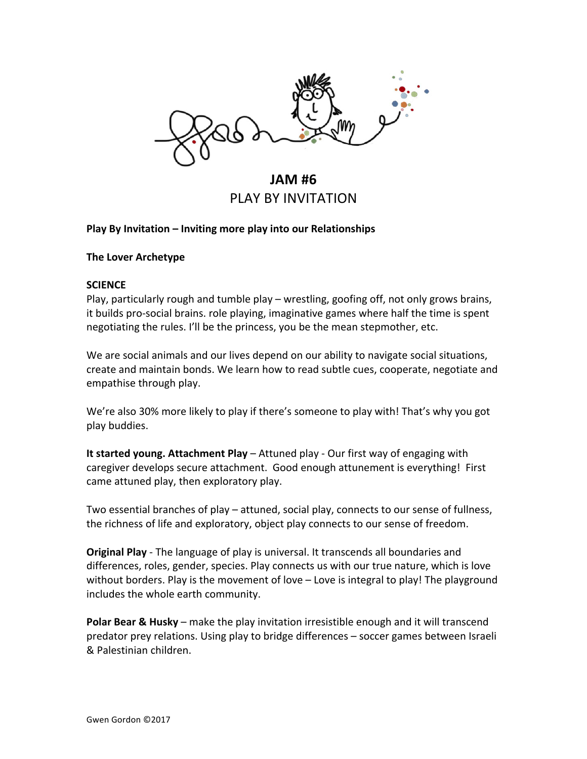

**JAM #6** PLAY BY INVITATION

# **Play By Invitation – Inviting more play into our Relationships**

# **The Lover Archetype**

#### **SCIENCE**

Play, particularly rough and tumble play – wrestling, goofing off, not only grows brains, it builds pro-social brains, role playing, imaginative games where half the time is spent negotiating the rules. I'll be the princess, you be the mean stepmother, etc.

We are social animals and our lives depend on our ability to navigate social situations, create and maintain bonds. We learn how to read subtle cues, cooperate, negotiate and empathise through play.

We're also 30% more likely to play if there's someone to play with! That's why you got play buddies.

**It started young. Attachment Play** – Attuned play - Our first way of engaging with caregiver develops secure attachment. Good enough attunement is everything! First came attuned play, then exploratory play.

Two essential branches of play – attuned, social play, connects to our sense of fullness, the richness of life and exploratory, object play connects to our sense of freedom.

**Original Play** - The language of play is universal. It transcends all boundaries and differences, roles, gender, species. Play connects us with our true nature, which is love without borders. Play is the movement of love  $-$  Love is integral to play! The playground includes the whole earth community.

**Polar Bear & Husky** – make the play invitation irresistible enough and it will transcend predator prey relations. Using play to bridge differences – soccer games between Israeli & Palestinian children.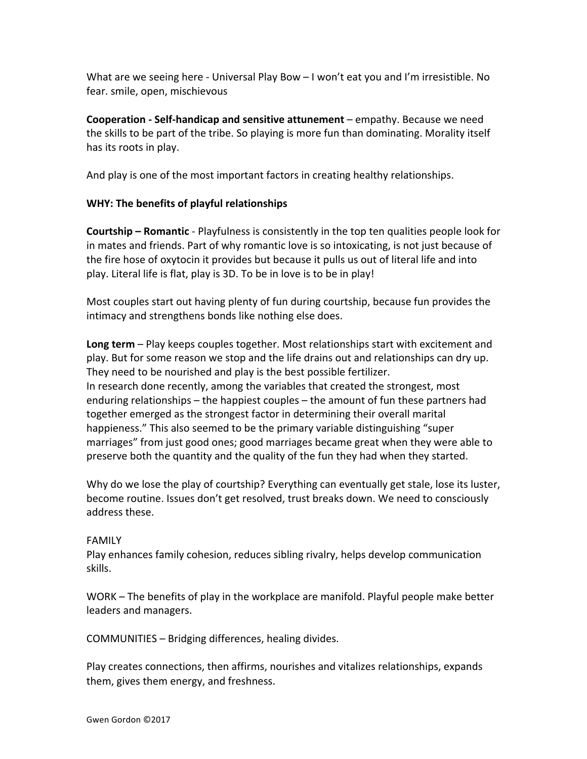What are we seeing here - Universal Play Bow  $-1$  won't eat you and I'm irresistible. No fear. smile, open, mischievous

**Cooperation - Self-handicap and sensitive attunement** – empathy. Because we need the skills to be part of the tribe. So playing is more fun than dominating. Morality itself has its roots in play.

And play is one of the most important factors in creating healthy relationships.

# **WHY: The benefits of playful relationships**

**Courtship – Romantic** - Playfulness is consistently in the top ten qualities people look for in mates and friends. Part of why romantic love is so intoxicating, is not just because of the fire hose of oxytocin it provides but because it pulls us out of literal life and into play. Literal life is flat, play is 3D. To be in love is to be in play!

Most couples start out having plenty of fun during courtship, because fun provides the intimacy and strengthens bonds like nothing else does.

**Long term** – Play keeps couples together. Most relationships start with excitement and play. But for some reason we stop and the life drains out and relationships can dry up. They need to be nourished and play is the best possible fertilizer. In research done recently, among the variables that created the strongest, most enduring relationships  $-$  the happiest couples  $-$  the amount of fun these partners had together emerged as the strongest factor in determining their overall marital happieness." This also seemed to be the primary variable distinguishing "super marriages" from just good ones; good marriages became great when they were able to preserve both the quantity and the quality of the fun they had when they started.

Why do we lose the play of courtship? Everything can eventually get stale, lose its luster, become routine. Issues don't get resolved, trust breaks down. We need to consciously address these.

#### FAMILY

Play enhances family cohesion, reduces sibling rivalry, helps develop communication skills.

WORK – The benefits of play in the workplace are manifold. Playful people make better leaders and managers.

COMMUNITIES - Bridging differences, healing divides.

Play creates connections, then affirms, nourishes and vitalizes relationships, expands them, gives them energy, and freshness.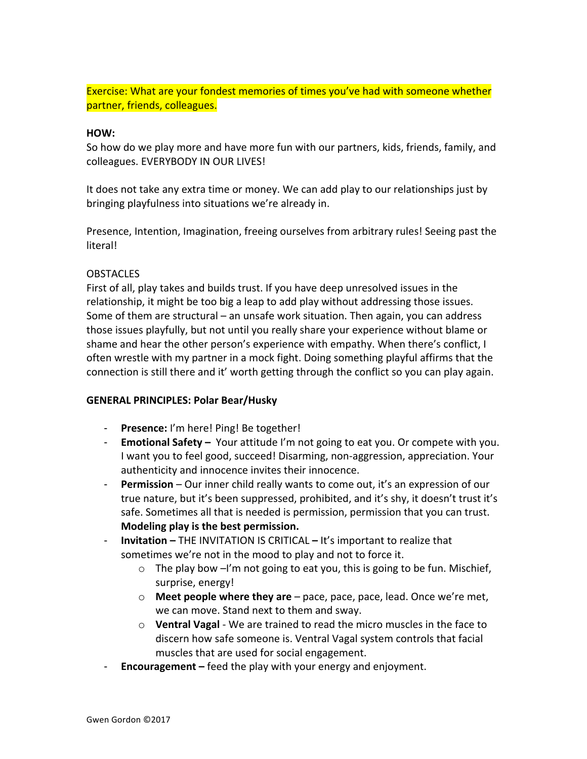Exercise: What are your fondest memories of times you've had with someone whether partner, friends, colleagues.

#### **HOW:**

So how do we play more and have more fun with our partners, kids, friends, family, and colleagues. EVERYBODY IN OUR LIVES!

It does not take any extra time or money. We can add play to our relationships just by bringing playfulness into situations we're already in.

Presence, Intention, Imagination, freeing ourselves from arbitrary rules! Seeing past the literal! 

# **OBSTACLES**

First of all, play takes and builds trust. If you have deep unresolved issues in the relationship, it might be too big a leap to add play without addressing those issues. Some of them are structural  $-$  an unsafe work situation. Then again, you can address those issues playfully, but not until you really share your experience without blame or shame and hear the other person's experience with empathy. When there's conflict, I often wrestle with my partner in a mock fight. Doing something playful affirms that the connection is still there and it' worth getting through the conflict so you can play again.

# **GENERAL PRINCIPLES: Polar Bear/Husky**

- **Presence:** I'm here! Ping! Be together!
- **Emotional Safety** Your attitude I'm not going to eat you. Or compete with you. I want you to feel good, succeed! Disarming, non-aggression, appreciation. Your authenticity and innocence invites their innocence.
- **Permission** Our inner child really wants to come out, it's an expression of our true nature, but it's been suppressed, prohibited, and it's shy, it doesn't trust it's safe. Sometimes all that is needed is permission, permission that you can trust. **Modeling play is the best permission.**
- **- Invitation** THE INVITATION IS CRITICAL It's important to realize that sometimes we're not in the mood to play and not to force it.
	- $\circ$  The play bow -I'm not going to eat you, this is going to be fun. Mischief, surprise, energy!
	- **Meet people where they are** pace, pace, pace, lead. Once we're met, we can move. Stand next to them and sway.
	- $\circ$  **Ventral Vagal** We are trained to read the micro muscles in the face to discern how safe someone is. Ventral Vagal system controls that facial muscles that are used for social engagement.
- **Encouragement** feed the play with your energy and enjoyment.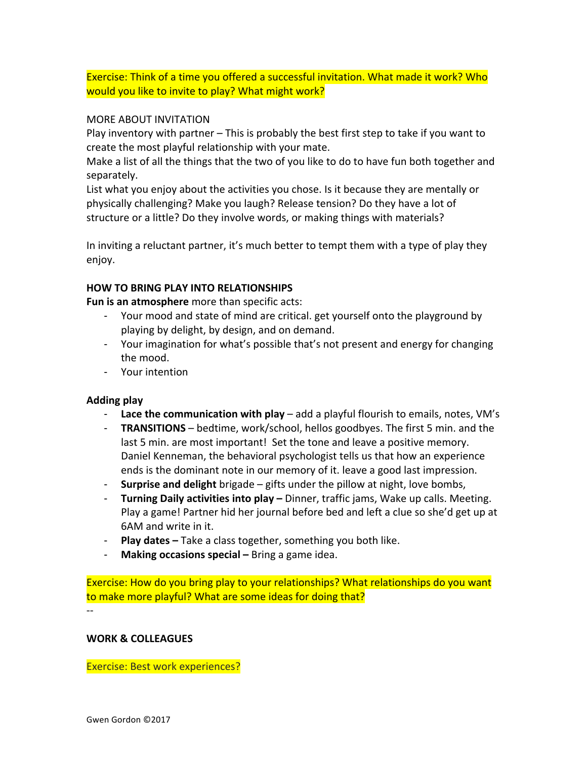Exercise: Think of a time you offered a successful invitation. What made it work? Who would you like to invite to play? What might work?

#### MORE ABOUT INVITATION

Play inventory with partner  $-$  This is probably the best first step to take if you want to create the most playful relationship with your mate.

Make a list of all the things that the two of you like to do to have fun both together and separately.

List what you enjoy about the activities you chose. Is it because they are mentally or physically challenging? Make you laugh? Release tension? Do they have a lot of structure or a little? Do they involve words, or making things with materials?

In inviting a reluctant partner, it's much better to tempt them with a type of play they enjoy. 

# **HOW TO BRING PLAY INTO RELATIONSHIPS**

**Fun is an atmosphere** more than specific acts:

- Your mood and state of mind are critical. get yourself onto the playground by playing by delight, by design, and on demand.
- Your imagination for what's possible that's not present and energy for changing the mood.
- Your intention

#### **Adding play**

- **Lace the communication with play** add a playful flourish to emails, notes, VM's
- **TRANSITIONS** bedtime, work/school, hellos goodbyes. The first 5 min. and the last 5 min. are most important! Set the tone and leave a positive memory. Daniel Kenneman, the behavioral psychologist tells us that how an experience ends is the dominant note in our memory of it. leave a good last impression.
- **Surprise and delight** brigade gifts under the pillow at night, love bombs,
- **Turning Daily activities into play** Dinner, traffic jams, Wake up calls. Meeting. Play a game! Partner hid her journal before bed and left a clue so she'd get up at 6AM and write in it.
- **Play dates** Take a class together, something you both like.
- **Making occasions special** Bring a game idea.

Exercise: How do you bring play to your relationships? What relationships do you want to make more playful? What are some ideas for doing that?

--

#### **WORK & COLLEAGUES**

Exercise: Best work experiences?